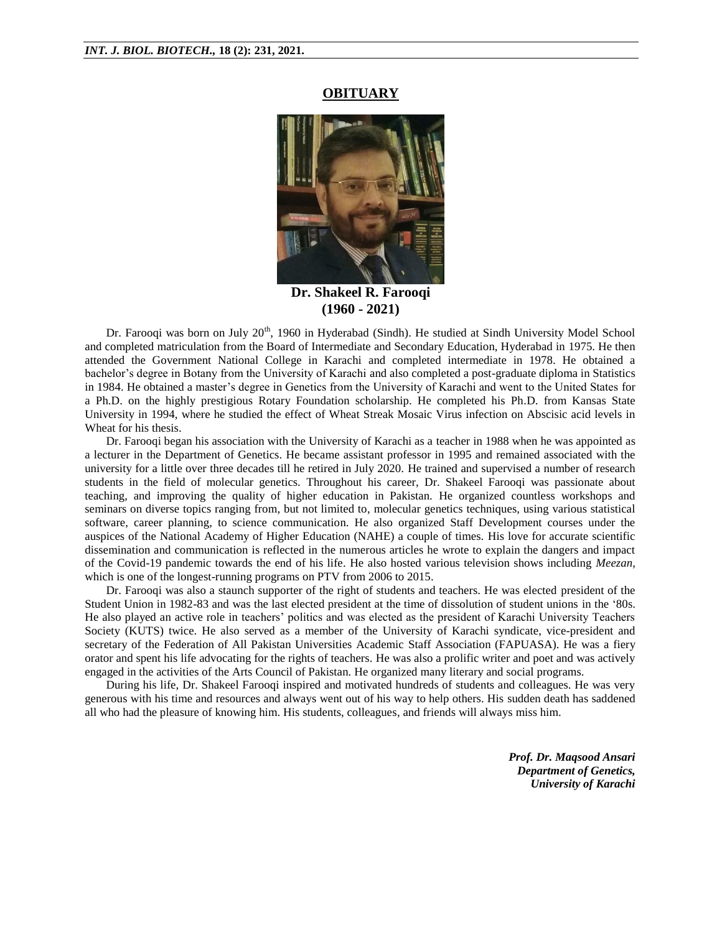## **OBITUARY**



**Dr. Shakeel R. Farooqi (1960 - 2021)**

Dr. Farooqi was born on July 20<sup>th</sup>, 1960 in Hyderabad (Sindh). He studied at Sindh University Model School and completed matriculation from the Board of Intermediate and Secondary Education, Hyderabad in 1975. He then attended the Government National College in Karachi and completed intermediate in 1978. He obtained a bachelor's degree in Botany from the University of Karachi and also completed a post-graduate diploma in Statistics in 1984. He obtained a master's degree in Genetics from the University of Karachi and went to the United States for a Ph.D. on the highly prestigious Rotary Foundation scholarship. He completed his Ph.D. from Kansas State University in 1994, where he studied the effect of Wheat Streak Mosaic Virus infection on Abscisic acid levels in Wheat for his thesis.

Dr. Farooqi began his association with the University of Karachi as a teacher in 1988 when he was appointed as a lecturer in the Department of Genetics. He became assistant professor in 1995 and remained associated with the university for a little over three decades till he retired in July 2020. He trained and supervised a number of research students in the field of molecular genetics. Throughout his career, Dr. Shakeel Farooqi was passionate about teaching, and improving the quality of higher education in Pakistan. He organized countless workshops and seminars on diverse topics ranging from, but not limited to, molecular genetics techniques, using various statistical software, career planning, to science communication. He also organized Staff Development courses under the auspices of the National Academy of Higher Education (NAHE) a couple of times. His love for accurate scientific dissemination and communication is reflected in the numerous articles he wrote to explain the dangers and impact of the Covid-19 pandemic towards the end of his life. He also hosted various television shows including *Meezan*, which is one of the longest-running programs on PTV from 2006 to 2015.

Dr. Farooqi was also a staunch supporter of the right of students and teachers. He was elected president of the Student Union in 1982-83 and was the last elected president at the time of dissolution of student unions in the '80s. He also played an active role in teachers' politics and was elected as the president of Karachi University Teachers Society (KUTS) twice. He also served as a member of the University of Karachi syndicate, vice-president and secretary of the Federation of All Pakistan Universities Academic Staff Association (FAPUASA). He was a fiery orator and spent his life advocating for the rights of teachers. He was also a prolific writer and poet and was actively engaged in the activities of the Arts Council of Pakistan. He organized many literary and social programs.

During his life, Dr. Shakeel Farooqi inspired and motivated hundreds of students and colleagues. He was very generous with his time and resources and always went out of his way to help others. His sudden death has saddened all who had the pleasure of knowing him. His students, colleagues, and friends will always miss him.

> *Prof. Dr. Maqsood Ansari Department of Genetics, University of Karachi*